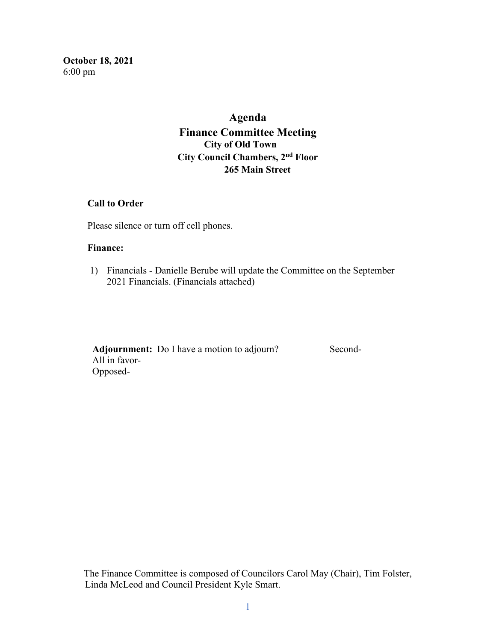**October 18, 2021**  6:00 pm

# **Agenda Finance Committee Meeting City of Old Town City Council Chambers, 2nd Floor 265 Main Street**

#### **Call to Order**

Please silence or turn off cell phones.

#### **Finance:**

1) Financials - Danielle Berube will update the Committee on the September 2021 Financials. (Financials attached)

Adjournment: Do I have a motion to adjourn? Second- All in favor- Opposed-

The Finance Committee is composed of Councilors Carol May (Chair), Tim Folster, Linda McLeod and Council President Kyle Smart.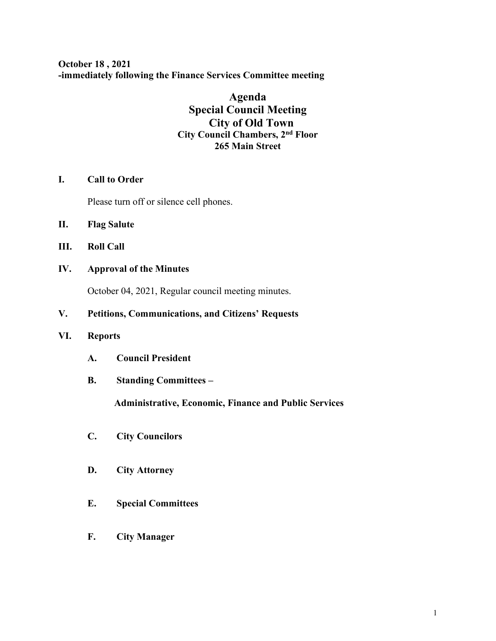**October 18 , 2021 -immediately following the Finance Services Committee meeting**

## **Agenda Special Council Meeting City of Old Town City Council Chambers, 2nd Floor 265 Main Street**

### **I. Call to Order**

Please turn off or silence cell phones.

- **II. Flag Salute**
- **III. Roll Call**
- **IV. Approval of the Minutes**

October 04, 2021, Regular council meeting minutes.

### **V. Petitions, Communications, and Citizens' Requests**

#### **VI. Reports**

- **A. Council President**
- **B. Standing Committees –**

 **Administrative, Economic, Finance and Public Services**

- **C. City Councilors**
- **D. City Attorney**
- **E. Special Committees**
- **F. City Manager**